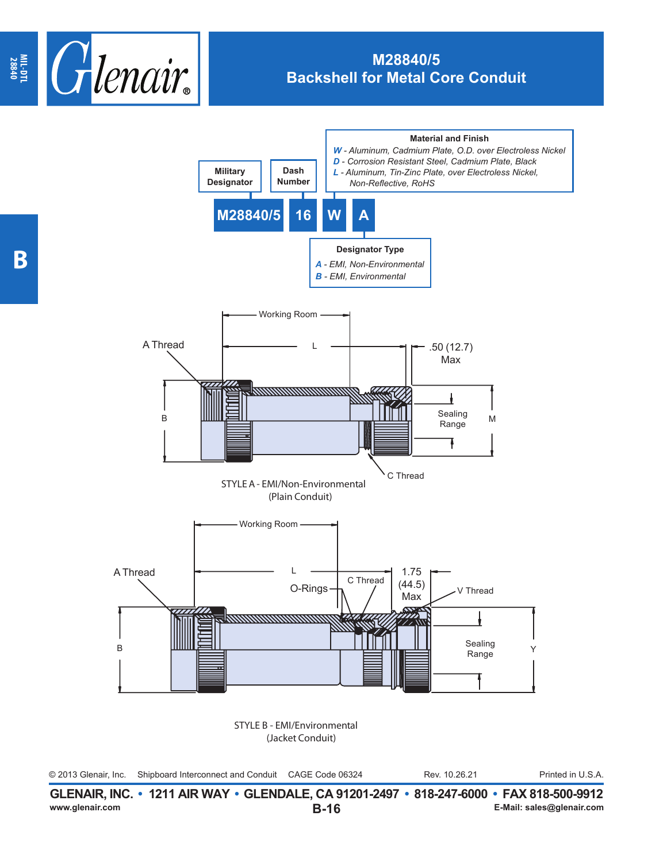

## **M28840/5 Backshell for Metal Core Conduit**



|                 | GLENAIR, INC. • 1211 AIR WAY • GLENDALE, CA 91201-2497 • 818-247-6000 • FAX 818-500-9912 |                           |
|-----------------|------------------------------------------------------------------------------------------|---------------------------|
| www.glenair.com | B-16                                                                                     | E-Mail: sales@glenair.com |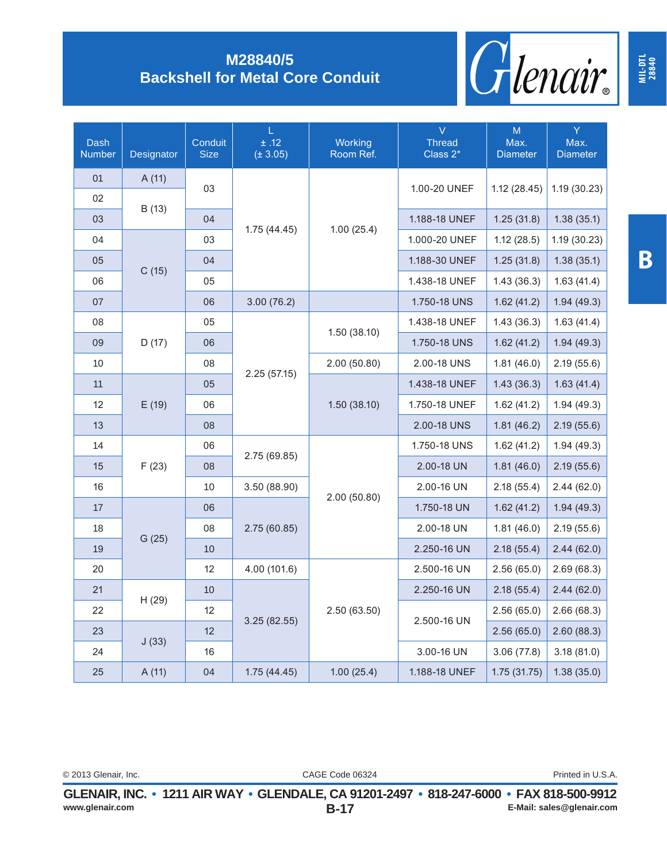

## **M28840/5 Backshell for Metal Core Conduit**

| Dash<br><b>Number</b> | Designator | Conduit<br><b>Size</b> | L.<br>±.12<br>$(\pm 3.05)$ | Working<br>Room Ref. | $\overline{\vee}$<br><b>Thread</b><br>Class 2* | M<br>Max.<br><b>Diameter</b> | Y.<br>Max.<br><b>Diameter</b> |
|-----------------------|------------|------------------------|----------------------------|----------------------|------------------------------------------------|------------------------------|-------------------------------|
| 01                    | A(11)      |                        | 1.75(44.45)                | 1.00(25.4)           | 1.00-20 UNEF                                   | 1.12(28.45)                  | 1.19(30.23)                   |
| 02                    |            | 03                     |                            |                      |                                                |                              |                               |
| 03                    | B (13)     | 04                     |                            |                      | 1.188-18 UNEF                                  | 1.25(31.8)                   | 1.38(35.1)                    |
| 04                    |            | 03                     |                            |                      | 1.000-20 UNEF                                  | 1.12(28.5)                   | 1.19(30.23)                   |
| 05                    |            | 04                     |                            |                      | 1.188-30 UNEF                                  | 1.25(31.8)                   | 1.38(35.1)                    |
| 06                    | C(15)      | 05                     |                            |                      | 1.438-18 UNEF                                  | 1.43(36.3)                   | 1.63(41.4)                    |
| 07                    |            | 06                     | 3.00(76.2)                 |                      | 1.750-18 UNS                                   | 1.62(41.2)                   | 1.94(49.3)                    |
| 08                    |            | 05                     |                            | 1.50(38.10)          | 1.438-18 UNEF                                  | 1.43(36.3)                   | 1.63(41.4)                    |
| 09                    | D(17)      | 06                     |                            |                      | 1.750-18 UNS                                   | 1.62(41.2)                   | 1.94(49.3)                    |
| 10                    |            | 08                     |                            | 2.00(50.80)          | 2.00-18 UNS                                    | 1.81(46.0)                   | 2.19(55.6)                    |
| 11                    |            | 05                     | 2.25(57.15)                | 1.50(38.10)          | 1.438-18 UNEF                                  | 1.43(36.3)                   | 1.63(41.4)                    |
| 12                    | E(19)      | 06                     |                            |                      | 1.750-18 UNEF                                  | 1.62(41.2)                   | 1.94(49.3)                    |
| 13                    |            | 08                     |                            |                      | 2.00-18 UNS                                    | 1.81(46.2)                   | 2.19(55.6)                    |
| 14                    | F(23)      | 06                     |                            |                      | 1.750-18 UNS                                   | 1.62(41.2)                   | 1.94(49.3)                    |
| 15                    |            | 08                     | 2.75 (69.85)               |                      | 2.00-18 UN                                     | 1.81(46.0)                   | 2.19(55.6)                    |
| 16                    |            | 10                     | 3.50 (88.90)               |                      | 2.00-16 UN                                     | 2.18(55.4)                   | 2.44(62.0)                    |
| 17                    |            | 06                     |                            | 2.00(50.80)          | 1.750-18 UN                                    | 1.62(41.2)                   | 1.94(49.3)                    |
| 18                    | G(25)      | 08                     | 2.75(60.85)                |                      | 2.00-18 UN                                     | 1.81(46.0)                   | 2.19(55.6)                    |
| 19                    |            | 10                     |                            |                      | 2.250-16 UN                                    | 2.18(55.4)                   | 2.44(62.0)                    |
| 20                    |            | 12                     | 4.00 (101.6)               |                      | 2.500-16 UN                                    | 2.56(65.0)                   | 2.69(68.3)                    |
| 21                    |            | 10                     |                            | 2.50(63.50)          | 2.250-16 UN                                    | 2.18(55.4)                   | 2.44(62.0)                    |
| 22                    | H(29)      | 12                     |                            |                      | 2.500-16 UN                                    | 2.56(65.0)                   | 2.66(68.3)                    |
| 23                    |            | 12                     | 3.25(82.55)                |                      |                                                | 2.56(65.0)                   | 2.60(88.3)                    |
| 24                    | J(33)      | 16                     |                            |                      | 3.00-16 UN                                     | 3.06(77.8)                   | 3.18(81.0)                    |
| 25                    | A(11)      | 04                     | 1.75(44.45)                | 1.00(25.4)           | 1.188-18 UNEF                                  | 1.75(31.75)                  | 1.38(35.0)                    |

**MIL-DTL 28840**